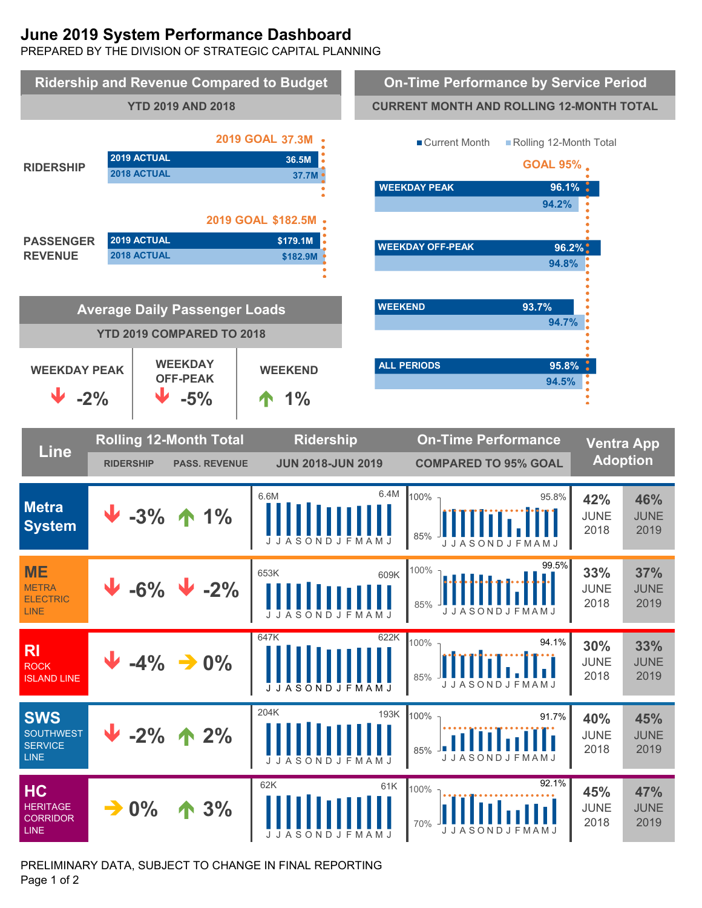# **June 2019 System Performance Dashboard**

PREPARED BY THE DIVISION OF STRATEGIC CAPITAL PLANNING



PRELIMINARY DATA, SUBJECT TO CHANGE IN FINAL REPORTING Page 1 of 2